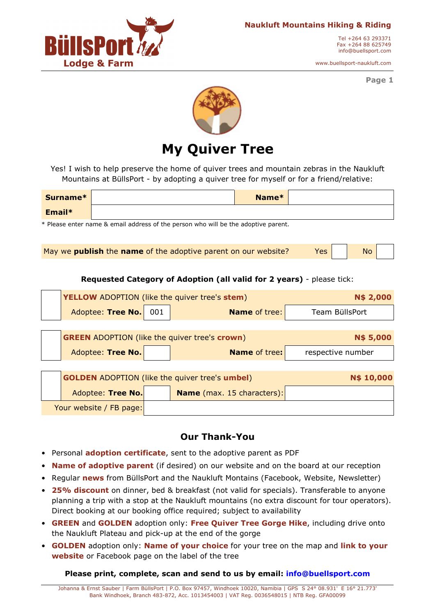

Tel +264 63 293371 Fax +264 88 625749 info@buellsport.com

www.buellsport-naukluft.com

**Page 1** 



## **My Quiver Tree**

Yes! I wish to help preserve the home of quiver trees and mountain zebras in the Naukluft Mountains at BüllsPort - by adopting a quiver tree for myself or for a friend/relative:

| Surname* | Name* |  |
|----------|-------|--|
| Email*   |       |  |

\* Please enter name & email address of the person who will be the adoptive parent.

May we **publish** the **name** of the adoptive parent on our website? Yes | | No

**Requested Category of Adoption (all valid for 2 years)** - please tick:

|                         | <b>YELLOW</b> ADOPTION (like the quiver tree's stem)<br><b>N\$ 2,000</b> |                   |                            |                   |  |
|-------------------------|--------------------------------------------------------------------------|-------------------|----------------------------|-------------------|--|
|                         | Adoptee: Tree No.                                                        | 001               | <b>Name of tree:</b>       | Team BüllsPort    |  |
|                         |                                                                          |                   |                            |                   |  |
|                         | <b>GREEN ADOPTION (like the quiver tree's crown)</b>                     |                   |                            | N\$ 5,000         |  |
|                         | Adoptee: Tree No.                                                        |                   | <b>Name of tree:</b>       | respective number |  |
|                         |                                                                          |                   |                            |                   |  |
|                         | <b>GOLDEN</b> ADOPTION (like the quiver tree's umbel)                    | <b>N\$ 10,000</b> |                            |                   |  |
|                         | Adoptee: Tree No.                                                        |                   | Name (max. 15 characters): |                   |  |
| Your website / FB page: |                                                                          |                   |                            |                   |  |

### **Our Thank-You**

- Personal **adoption certificate**, sent to the adoptive parent as PDF
- **Name of adoptive parent** (if desired) on our website and on the board at our reception
- Regular **news** from BüllsPort and the Naukluft Montains (Facebook, Website, Newsletter)
- **25% discount** on dinner, bed & breakfast (not valid for specials). Transferable to anyone planning a trip with a stop at the Naukluft mountains (no extra discount for tour operators). Direct booking at our booking office required; subject to availability
- **GREEN** and **GOLDEN** adoption only: **Free Quiver Tree Gorge Hike**, including drive onto the Naukluft Plateau and pick-up at the end of the gorge
- **GOLDEN** adoption only: **Name of your choice** for your tree on the map and **link to your website** or Facebook page on the label of the tree

**Please print, complete, scan and send to us by email: info@buellsport.com**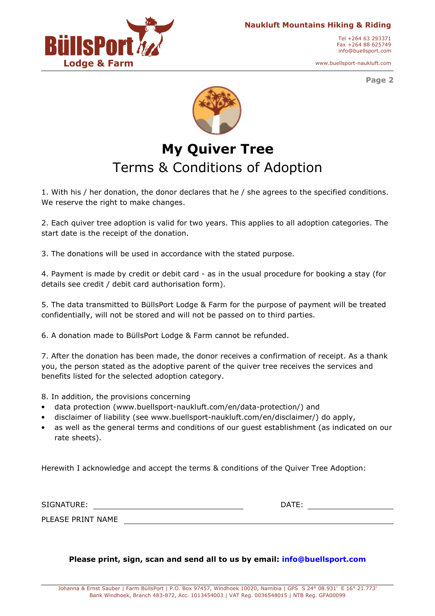

Tel +264 63 293371 Fax +264 88 625749 info@buellsport.com

www.buellsport-naukluft.com

**Page 2** 



# **My Quiver Tree**  Terms & Conditions of Adoption

1. With his / her donation, the donor declares that he / she agrees to the specified conditions. We reserve the right to make changes.

2. Each quiver tree adoption is valid for two years. This applies to all adoption categories. The start date is the receipt of the donation.

3. The donations will be used in accordance with the stated purpose.

4. Payment is made by credit or debit card - as in the usual procedure for booking a stay (for details see credit / debit card authorisation form).

5. The data transmitted to BüllsPort Lodge & Farm for the purpose of payment will be treated confidentially, will not be stored and will not be passed on to third parties.

6. A donation made to BüllsPort Lodge & Farm cannot be refunded.

7. After the donation has been made, the donor receives a confirmation of receipt. As a thank you, the person stated as the adoptive parent of the quiver tree receives the services and benefits listed for the selected adoption category.

8. In addition, the provisions concerning

- data protection (www.buellsport-naukluft.com/en/data-protection/) and
- disclaimer of liability (see www.buellsport-naukluft.com/en/disclaimer/) do apply,
- as well as the general terms and conditions of our guest establishment (as indicated on our rate sheets).

Herewith I acknowledge and accept the terms & conditions of the Quiver Tree Adoption:

| SIGNATURE:        |  | DATE: |  |
|-------------------|--|-------|--|
| PLEASE PRINT NAME |  |       |  |

#### **Please print, sign, scan and send all to us by email: info@buellsport.com**